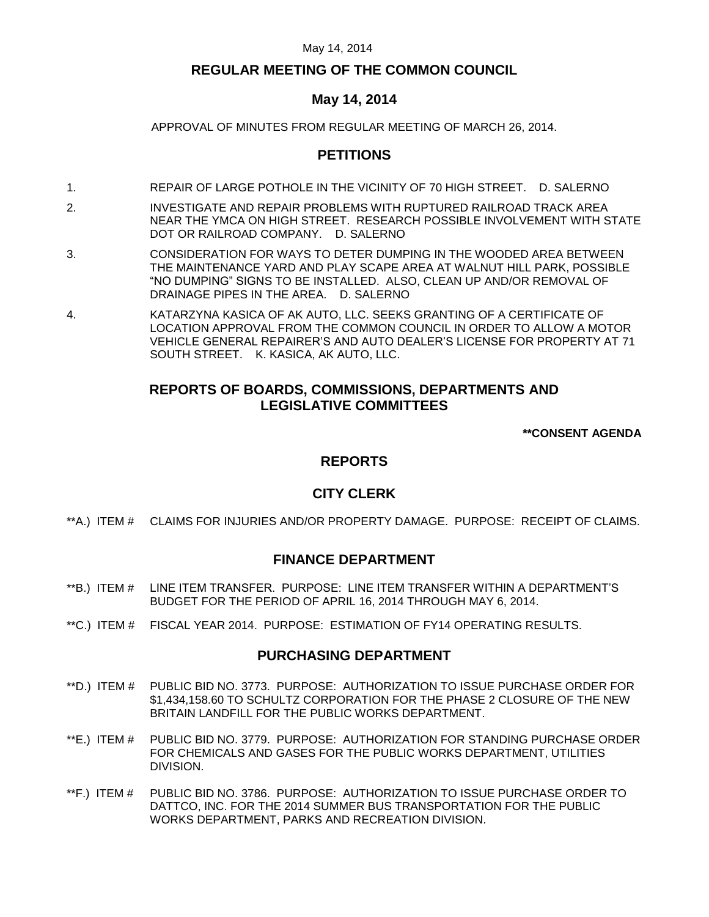## **REGULAR MEETING OF THE COMMON COUNCIL**

## **May 14, 2014**

APPROVAL OF MINUTES FROM REGULAR MEETING OF MARCH 26, 2014.

# **PETITIONS**

- 1. REPAIR OF LARGE POTHOLE IN THE VICINITY OF 70 HIGH STREET. D. SALERNO
- 2. INVESTIGATE AND REPAIR PROBLEMS WITH RUPTURED RAILROAD TRACK AREA NEAR THE YMCA ON HIGH STREET. RESEARCH POSSIBLE INVOLVEMENT WITH STATE DOT OR RAILROAD COMPANY. D. SALERNO
- 3. CONSIDERATION FOR WAYS TO DETER DUMPING IN THE WOODED AREA BETWEEN THE MAINTENANCE YARD AND PLAY SCAPE AREA AT WALNUT HILL PARK, POSSIBLE "NO DUMPING" SIGNS TO BE INSTALLED. ALSO, CLEAN UP AND/OR REMOVAL OF DRAINAGE PIPES IN THE AREA. D. SALERNO
- 4. KATARZYNA KASICA OF AK AUTO, LLC. SEEKS GRANTING OF A CERTIFICATE OF LOCATION APPROVAL FROM THE COMMON COUNCIL IN ORDER TO ALLOW A MOTOR VEHICLE GENERAL REPAIRER'S AND AUTO DEALER'S LICENSE FOR PROPERTY AT 71 SOUTH STREET. K. KASICA, AK AUTO, LLC.

# **REPORTS OF BOARDS, COMMISSIONS, DEPARTMENTS AND LEGISLATIVE COMMITTEES**

**\*\*CONSENT AGENDA**

# **REPORTS**

## **CITY CLERK**

\*\*A.) ITEM # [CLAIMS FOR INJURIES AND/OR PROPERTY DAMAGE. PURPOSE: RECEIPT OF CLAIMS.](#page-3-0)

## **FINANCE DEPARTMENT**

- \*\*B.) ITEM # [LINE ITEM TRANSFER. PURPOSE: LINE ITEM TRANSFER WITHIN A DEPARTMENT'S](#page-4-0)  [BUDGET FOR THE PERIOD OF APRIL 16, 2014 THROUGH MAY 6, 2014.](#page-4-0)
- \*\*C.) ITEM # [FISCAL YEAR 2014. PURPOSE: ESTIMATION OF FY14 OPERATING RESULTS.](#page-5-0)

## **PURCHASING DEPARTMENT**

- \*\*D.) ITEM # [PUBLIC BID NO. 3773. PURPOSE: AUTHORIZATION TO ISSUE PURCHASE ORDER FOR](#page-5-1)  [\\$1,434,158.60 TO SCHULTZ CORPORATION FOR THE PHASE 2 CLOSURE OF THE NEW](#page-5-1)  [BRITAIN LANDFILL FOR THE PUBLIC WORKS DEPARTMENT.](#page-5-1)
- \*\*E.) ITEM # [PUBLIC BID NO. 3779. PURPOSE: AUTHORIZATION FOR STANDING PURCHASE ORDER](#page-6-0)  [FOR CHEMICALS AND GASES FOR THE PUBLIC WORKS DEPARTMENT, UTILITIES](#page-6-0)  [DIVISION.](#page-6-0)
- \*\*F.) ITEM # [PUBLIC BID NO. 3786. PURPOSE: AUTHORIZATION TO ISSUE PURCHASE ORDER TO](#page-6-1)  [DATTCO, INC. FOR THE 2014 SUMMER BUS TRANSPORTATION FOR THE PUBLIC](#page-6-1)  [WORKS DEPARTMENT, PARKS AND RECREATION DIVISION.](#page-6-1)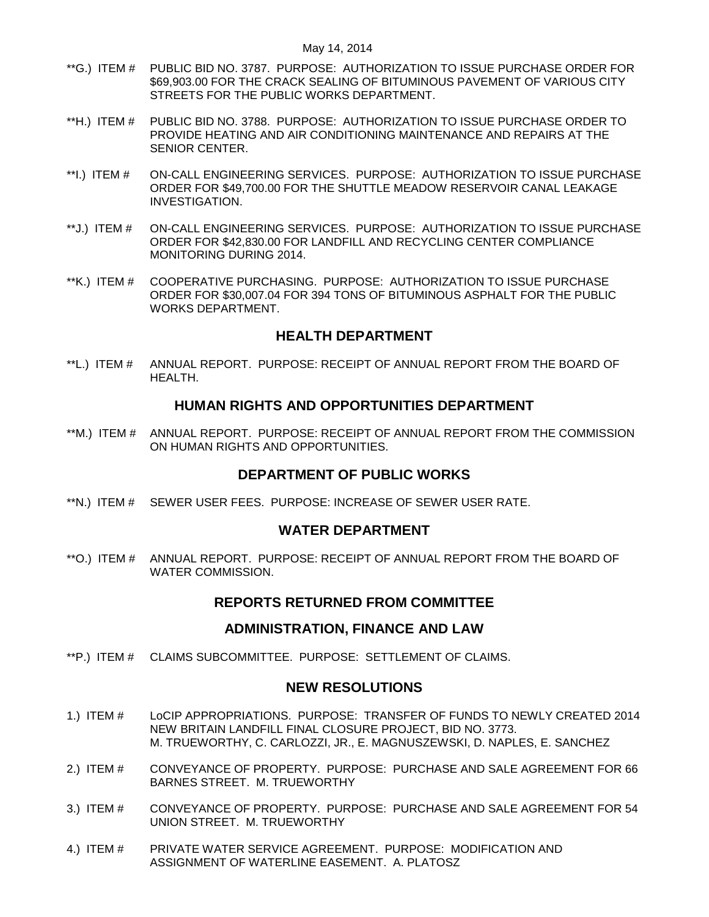- \*\*G.) ITEM # [PUBLIC BID NO. 3787. PURPOSE: AUTHORIZATION TO ISSUE PURCHASE ORDER FOR](#page-7-0)  [\\$69,903.00 FOR THE CRACK SEALING OF BITUMINOUS PAVEMENT OF VARIOUS CITY](#page-7-0)  [STREETS FOR THE PUBLIC WORKS DEPARTMENT.](#page-7-0)
- \*\*H.) ITEM # [PUBLIC BID NO. 3788. PURPOSE: AUTHORIZATION TO ISSUE PURCHASE ORDER TO](#page-8-0)  [PROVIDE HEATING AND AIR CONDITIONING MAINTENANCE AND REPAIRS AT THE](#page-8-0)  [SENIOR CENTER.](#page-8-0)
- \*\*I.) ITEM # [ON-CALL ENGINEERING SERVICES. PURPOSE: AUTHORIZATION TO ISSUE PURCHASE](#page-9-0)  [ORDER FOR \\$49,700.00 FOR THE SHUTTLE MEADOW RESERVOIR CANAL LEAKAGE](#page-9-0)  [INVESTIGATION.](#page-9-0)
- \*\*J.) ITEM # [ON-CALL ENGINEERING SERVICES. PURPOSE: AUTHORIZATION TO ISSUE PURCHASE](#page-9-1)  [ORDER FOR \\$42,830.00 FOR LANDFILL AND RECYCLING CENTER COMPLIANCE](#page-9-1)  [MONITORING DURING 2014.](#page-9-1)
- \*\*K.) ITEM # [COOPERATIVE PURCHASING. PURPOSE: AUTHORIZATION TO ISSUE PURCHASE](#page-10-0)  [ORDER FOR \\$30,007.04 FOR 394 TONS OF BITUMINOUS ASPHALT FOR THE PUBLIC](#page-10-0)  [WORKS DEPARTMENT.](#page-10-0)

## **HEALTH DEPARTMENT**

\*\*L.) ITEM # [ANNUAL REPORT. PURPOSE: RECEIPT OF ANNUAL REPORT FROM THE BOARD OF](#page-11-0)  [HEALTH.](#page-11-0)

## **HUMAN RIGHTS AND OPPORTUNITIES DEPARTMENT**

\*\*M.) ITEM # [ANNUAL REPORT. PURPOSE: RECEIPT OF ANNUAL REPORT FROM THE COMMISSION](#page-11-1)  [ON HUMAN RIGHTS AND OPPORTUNITIES.](#page-11-1)

## **DEPARTMENT OF PUBLIC WORKS**

\*\*N.) ITEM # [SEWER USER FEES. PURPOSE: INCREASE OF SEWER USER RATE.](#page-11-2)

## **WATER DEPARTMENT**

\*\*O.) ITEM # [ANNUAL REPORT. PURPOSE: RECEIPT OF ANNUAL REPORT FROM THE BOARD OF](#page-12-0)  [WATER COMMISSION.](#page-12-0)

## **REPORTS RETURNED FROM COMMITTEE**

## **ADMINISTRATION, FINANCE AND LAW**

\*\*P.) ITEM # [CLAIMS SUBCOMMITTEE. PURPOSE: SETTLEMENT OF CLAIMS.](#page-12-1)

## **NEW RESOLUTIONS**

- 1.) ITEM # [LoCIP APPROPRIATIONS. PURPOSE: TRANSFER OF FUNDS TO NEWLY CREATED 2014](#page-13-0)  [NEW BRITAIN LANDFILL FINAL CLOSURE PROJECT, BID NO. 3773.](#page-13-0) [M. TRUEWORTHY, C. CARLOZZI, JR., E. MAGNUSZEWSKI, D. NAPLES, E. SANCHEZ](#page-13-0)
- 2.) ITEM # [CONVEYANCE OF PROPERTY. PURPOSE: PURCHASE AND SALE AGREEMENT FOR 66](#page-13-1)  [BARNES STREET. M. TRUEWORTHY](#page-13-1)
- 3.) ITEM # [CONVEYANCE OF PROPERTY. PURPOSE: PURCHASE AND SALE AGREEMENT FOR 54](#page-14-0)  [UNION STREET. M. TRUEWORTHY](#page-14-0)
- 4.) ITEM # [PRIVATE WATER SERVICE AGREEMENT. PURPOSE: MODIFICATION AND](#page-15-0)  [ASSIGNMENT OF WATERLINE EASEMENT. A. PLATOSZ](#page-15-0)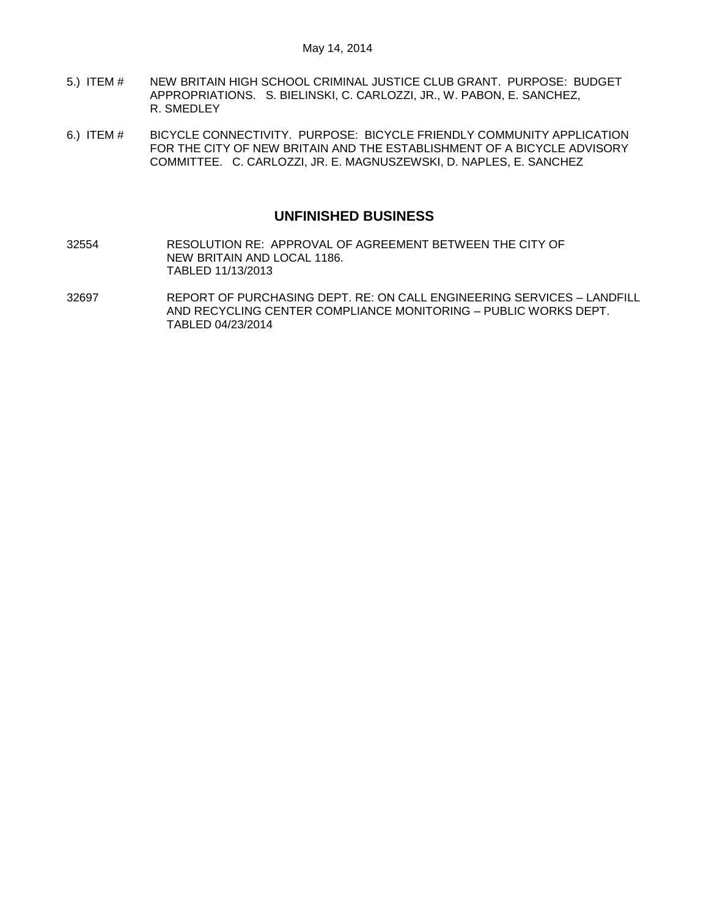- 5.) ITEM # [NEW BRITAIN HIGH SCHOOL CRIMINAL JUSTICE CLUB GRANT. PURPOSE: BUDGET](#page-15-1)  [APPROPRIATIONS. S. BIELINSKI, C. CARLOZZI, JR., W. PABON, E. SANCHEZ,](#page-15-1)  [R. SMEDLEY](#page-15-1)
- 6.) ITEM # [BICYCLE CONNECTIVITY. PURPOSE: BICYCLE FRIENDLY COMMUNITY APPLICATION](#page-16-0)  [FOR THE CITY OF NEW BRITAIN AND THE ESTABLISHMENT OF A](#page-16-0) BICYCLE ADVISORY [COMMITTEE. C. CARLOZZI, JR. E. MAGNUSZEWSKI, D. NAPLES, E. SANCHEZ](#page-16-0)

## **UNFINISHED BUSINESS**

- 32554 RESOLUTION RE: APPROVAL OF AGREEMENT BETWEEN THE CITY OF NEW BRITAIN AND LOCAL 1186. TABLED 11/13/2013
- 32697 REPORT OF PURCHASING DEPT. RE: ON CALL ENGINEERING SERVICES LANDFILL AND RECYCLING CENTER COMPLIANCE MONITORING – PUBLIC WORKS DEPT. TABLED 04/23/2014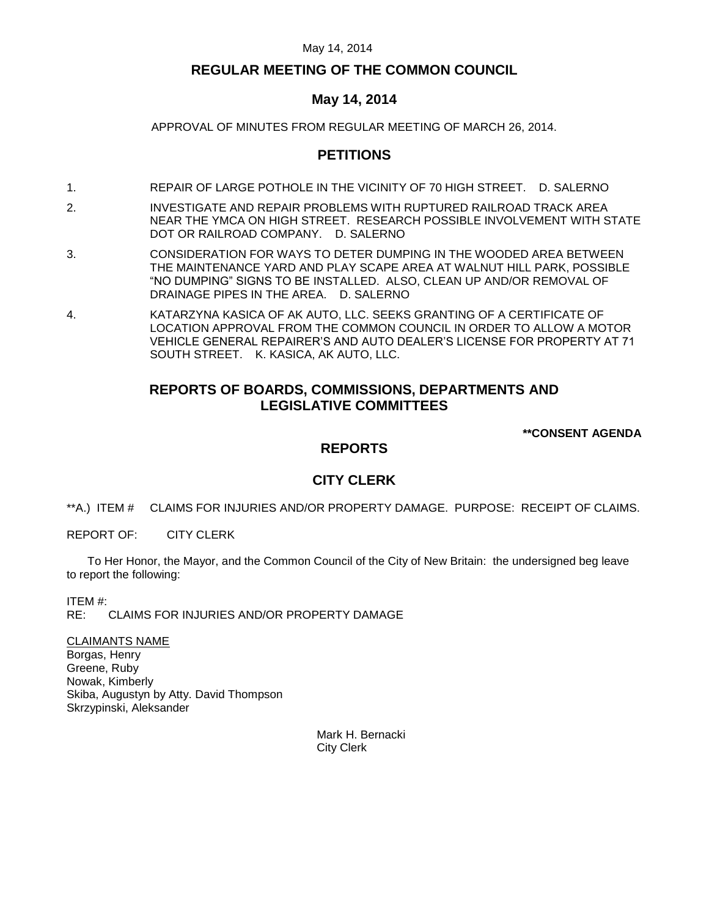## **REGULAR MEETING OF THE COMMON COUNCIL**

## **May 14, 2014**

APPROVAL OF MINUTES FROM REGULAR MEETING OF MARCH 26, 2014.

# **PETITIONS**

- 1. REPAIR OF LARGE POTHOLE IN THE VICINITY OF 70 HIGH STREET. D. SALERNO
- 2. INVESTIGATE AND REPAIR PROBLEMS WITH RUPTURED RAILROAD TRACK AREA NEAR THE YMCA ON HIGH STREET. RESEARCH POSSIBLE INVOLVEMENT WITH STATE DOT OR RAILROAD COMPANY. D. SALERNO
- 3. CONSIDERATION FOR WAYS TO DETER DUMPING IN THE WOODED AREA BETWEEN THE MAINTENANCE YARD AND PLAY SCAPE AREA AT WALNUT HILL PARK, POSSIBLE "NO DUMPING" SIGNS TO BE INSTALLED. ALSO, CLEAN UP AND/OR REMOVAL OF DRAINAGE PIPES IN THE AREA. D. SALERNO
- 4. KATARZYNA KASICA OF AK AUTO, LLC. SEEKS GRANTING OF A CERTIFICATE OF LOCATION APPROVAL FROM THE COMMON COUNCIL IN ORDER TO ALLOW A MOTOR VEHICLE GENERAL REPAIRER'S AND AUTO DEALER'S LICENSE FOR PROPERTY AT 71 SOUTH STREET. K. KASICA, AK AUTO, LLC.

# **REPORTS OF BOARDS, COMMISSIONS, DEPARTMENTS AND LEGISLATIVE COMMITTEES**

**\*\*CONSENT AGENDA**

# **REPORTS**

# **CITY CLERK**

<span id="page-3-0"></span>\*\*A.) ITEM # CLAIMS FOR INJURIES AND/OR PROPERTY DAMAGE. PURPOSE: RECEIPT OF CLAIMS.

REPORT OF: CITY CLERK

To Her Honor, the Mayor, and the Common Council of the City of New Britain: the undersigned beg leave to report the following:

ITEM #:

RE: CLAIMS FOR INJURIES AND/OR PROPERTY DAMAGE

CLAIMANTS NAME Borgas, Henry Greene, Ruby Nowak, Kimberly Skiba, Augustyn by Atty. David Thompson Skrzypinski, Aleksander

> Mark H. Bernacki City Clerk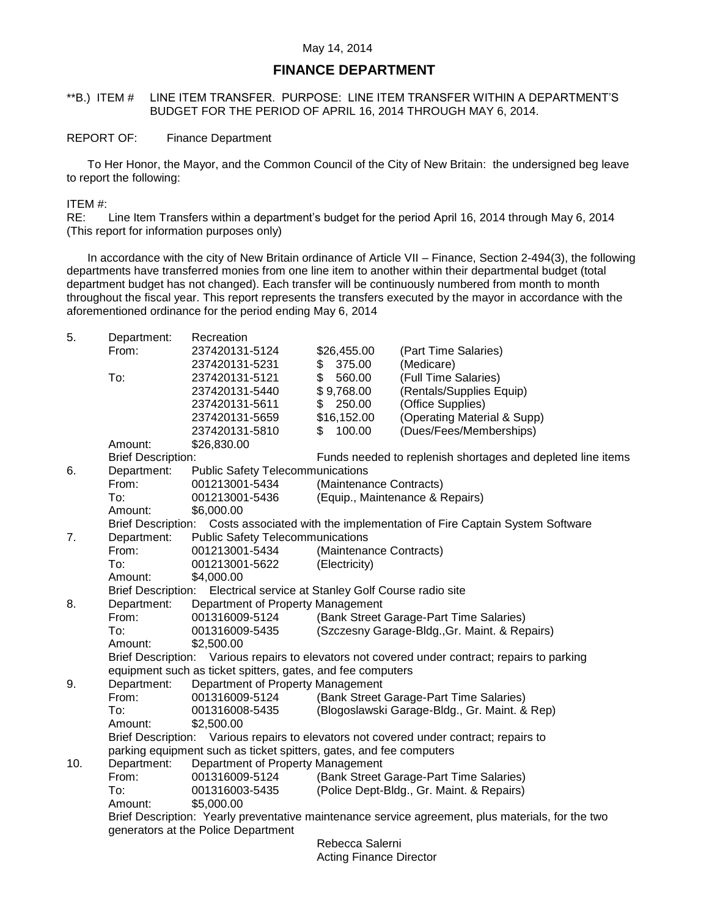## **FINANCE DEPARTMENT**

## <span id="page-4-0"></span>\*\*B.) ITEM # LINE ITEM TRANSFER. PURPOSE: LINE ITEM TRANSFER WITHIN A DEPARTMENT'S BUDGET FOR THE PERIOD OF APRIL 16, 2014 THROUGH MAY 6, 2014.

#### REPORT OF: Finance Department

To Her Honor, the Mayor, and the Common Council of the City of New Britain: the undersigned beg leave to report the following:

#### ITEM #:

RE: Line Item Transfers within a department's budget for the period April 16, 2014 through May 6, 2014 (This report for information purposes only)

In accordance with the city of New Britain ordinance of Article VII – Finance, Section 2-494(3), the following departments have transferred monies from one line item to another within their departmental budget (total department budget has not changed). Each transfer will be continuously numbered from month to month throughout the fiscal year. This report represents the transfers executed by the mayor in accordance with the aforementioned ordinance for the period ending May 6, 2014

| Department:                                                                | Recreation                                                                                                                          |                                                                                                                                                                                                                                                                                                                                                                                                                | (Part Time Salaries)                                                                                                                                                                                                                                                                                                                                                                                                                                                                                                                                                                                                                                                                                                                                                                                                                                                                                                                    |  |  |  |
|----------------------------------------------------------------------------|-------------------------------------------------------------------------------------------------------------------------------------|----------------------------------------------------------------------------------------------------------------------------------------------------------------------------------------------------------------------------------------------------------------------------------------------------------------------------------------------------------------------------------------------------------------|-----------------------------------------------------------------------------------------------------------------------------------------------------------------------------------------------------------------------------------------------------------------------------------------------------------------------------------------------------------------------------------------------------------------------------------------------------------------------------------------------------------------------------------------------------------------------------------------------------------------------------------------------------------------------------------------------------------------------------------------------------------------------------------------------------------------------------------------------------------------------------------------------------------------------------------------|--|--|--|
|                                                                            |                                                                                                                                     |                                                                                                                                                                                                                                                                                                                                                                                                                | (Medicare)                                                                                                                                                                                                                                                                                                                                                                                                                                                                                                                                                                                                                                                                                                                                                                                                                                                                                                                              |  |  |  |
|                                                                            |                                                                                                                                     |                                                                                                                                                                                                                                                                                                                                                                                                                | (Full Time Salaries)                                                                                                                                                                                                                                                                                                                                                                                                                                                                                                                                                                                                                                                                                                                                                                                                                                                                                                                    |  |  |  |
|                                                                            |                                                                                                                                     |                                                                                                                                                                                                                                                                                                                                                                                                                | (Rentals/Supplies Equip)                                                                                                                                                                                                                                                                                                                                                                                                                                                                                                                                                                                                                                                                                                                                                                                                                                                                                                                |  |  |  |
|                                                                            |                                                                                                                                     |                                                                                                                                                                                                                                                                                                                                                                                                                | (Office Supplies)                                                                                                                                                                                                                                                                                                                                                                                                                                                                                                                                                                                                                                                                                                                                                                                                                                                                                                                       |  |  |  |
|                                                                            |                                                                                                                                     |                                                                                                                                                                                                                                                                                                                                                                                                                | (Operating Material & Supp)                                                                                                                                                                                                                                                                                                                                                                                                                                                                                                                                                                                                                                                                                                                                                                                                                                                                                                             |  |  |  |
|                                                                            |                                                                                                                                     |                                                                                                                                                                                                                                                                                                                                                                                                                | (Dues/Fees/Memberships)                                                                                                                                                                                                                                                                                                                                                                                                                                                                                                                                                                                                                                                                                                                                                                                                                                                                                                                 |  |  |  |
|                                                                            |                                                                                                                                     |                                                                                                                                                                                                                                                                                                                                                                                                                |                                                                                                                                                                                                                                                                                                                                                                                                                                                                                                                                                                                                                                                                                                                                                                                                                                                                                                                                         |  |  |  |
|                                                                            |                                                                                                                                     |                                                                                                                                                                                                                                                                                                                                                                                                                | Funds needed to replenish shortages and depleted line items                                                                                                                                                                                                                                                                                                                                                                                                                                                                                                                                                                                                                                                                                                                                                                                                                                                                             |  |  |  |
|                                                                            |                                                                                                                                     |                                                                                                                                                                                                                                                                                                                                                                                                                |                                                                                                                                                                                                                                                                                                                                                                                                                                                                                                                                                                                                                                                                                                                                                                                                                                                                                                                                         |  |  |  |
|                                                                            |                                                                                                                                     | (Maintenance Contracts)                                                                                                                                                                                                                                                                                                                                                                                        |                                                                                                                                                                                                                                                                                                                                                                                                                                                                                                                                                                                                                                                                                                                                                                                                                                                                                                                                         |  |  |  |
|                                                                            |                                                                                                                                     |                                                                                                                                                                                                                                                                                                                                                                                                                |                                                                                                                                                                                                                                                                                                                                                                                                                                                                                                                                                                                                                                                                                                                                                                                                                                                                                                                                         |  |  |  |
|                                                                            |                                                                                                                                     |                                                                                                                                                                                                                                                                                                                                                                                                                |                                                                                                                                                                                                                                                                                                                                                                                                                                                                                                                                                                                                                                                                                                                                                                                                                                                                                                                                         |  |  |  |
|                                                                            |                                                                                                                                     |                                                                                                                                                                                                                                                                                                                                                                                                                |                                                                                                                                                                                                                                                                                                                                                                                                                                                                                                                                                                                                                                                                                                                                                                                                                                                                                                                                         |  |  |  |
|                                                                            |                                                                                                                                     |                                                                                                                                                                                                                                                                                                                                                                                                                |                                                                                                                                                                                                                                                                                                                                                                                                                                                                                                                                                                                                                                                                                                                                                                                                                                                                                                                                         |  |  |  |
|                                                                            |                                                                                                                                     |                                                                                                                                                                                                                                                                                                                                                                                                                |                                                                                                                                                                                                                                                                                                                                                                                                                                                                                                                                                                                                                                                                                                                                                                                                                                                                                                                                         |  |  |  |
| To:                                                                        |                                                                                                                                     |                                                                                                                                                                                                                                                                                                                                                                                                                |                                                                                                                                                                                                                                                                                                                                                                                                                                                                                                                                                                                                                                                                                                                                                                                                                                                                                                                                         |  |  |  |
| Amount:                                                                    |                                                                                                                                     |                                                                                                                                                                                                                                                                                                                                                                                                                |                                                                                                                                                                                                                                                                                                                                                                                                                                                                                                                                                                                                                                                                                                                                                                                                                                                                                                                                         |  |  |  |
|                                                                            |                                                                                                                                     |                                                                                                                                                                                                                                                                                                                                                                                                                |                                                                                                                                                                                                                                                                                                                                                                                                                                                                                                                                                                                                                                                                                                                                                                                                                                                                                                                                         |  |  |  |
| Department:                                                                |                                                                                                                                     |                                                                                                                                                                                                                                                                                                                                                                                                                |                                                                                                                                                                                                                                                                                                                                                                                                                                                                                                                                                                                                                                                                                                                                                                                                                                                                                                                                         |  |  |  |
| From:                                                                      | 001316009-5124                                                                                                                      | (Bank Street Garage-Part Time Salaries)                                                                                                                                                                                                                                                                                                                                                                        |                                                                                                                                                                                                                                                                                                                                                                                                                                                                                                                                                                                                                                                                                                                                                                                                                                                                                                                                         |  |  |  |
| To:                                                                        | 001316009-5435                                                                                                                      | (Szczesny Garage-Bldg., Gr. Maint. & Repairs)                                                                                                                                                                                                                                                                                                                                                                  |                                                                                                                                                                                                                                                                                                                                                                                                                                                                                                                                                                                                                                                                                                                                                                                                                                                                                                                                         |  |  |  |
| Amount:                                                                    | \$2,500.00                                                                                                                          |                                                                                                                                                                                                                                                                                                                                                                                                                |                                                                                                                                                                                                                                                                                                                                                                                                                                                                                                                                                                                                                                                                                                                                                                                                                                                                                                                                         |  |  |  |
|                                                                            |                                                                                                                                     |                                                                                                                                                                                                                                                                                                                                                                                                                |                                                                                                                                                                                                                                                                                                                                                                                                                                                                                                                                                                                                                                                                                                                                                                                                                                                                                                                                         |  |  |  |
|                                                                            |                                                                                                                                     |                                                                                                                                                                                                                                                                                                                                                                                                                |                                                                                                                                                                                                                                                                                                                                                                                                                                                                                                                                                                                                                                                                                                                                                                                                                                                                                                                                         |  |  |  |
| Department:                                                                |                                                                                                                                     |                                                                                                                                                                                                                                                                                                                                                                                                                |                                                                                                                                                                                                                                                                                                                                                                                                                                                                                                                                                                                                                                                                                                                                                                                                                                                                                                                                         |  |  |  |
| From:                                                                      | 001316009-5124                                                                                                                      |                                                                                                                                                                                                                                                                                                                                                                                                                | (Bank Street Garage-Part Time Salaries)                                                                                                                                                                                                                                                                                                                                                                                                                                                                                                                                                                                                                                                                                                                                                                                                                                                                                                 |  |  |  |
| To:                                                                        | 001316008-5435                                                                                                                      |                                                                                                                                                                                                                                                                                                                                                                                                                | (Blogoslawski Garage-Bldg., Gr. Maint. & Rep)                                                                                                                                                                                                                                                                                                                                                                                                                                                                                                                                                                                                                                                                                                                                                                                                                                                                                           |  |  |  |
| Amount:                                                                    |                                                                                                                                     |                                                                                                                                                                                                                                                                                                                                                                                                                |                                                                                                                                                                                                                                                                                                                                                                                                                                                                                                                                                                                                                                                                                                                                                                                                                                                                                                                                         |  |  |  |
|                                                                            |                                                                                                                                     |                                                                                                                                                                                                                                                                                                                                                                                                                |                                                                                                                                                                                                                                                                                                                                                                                                                                                                                                                                                                                                                                                                                                                                                                                                                                                                                                                                         |  |  |  |
| parking equipment such as ticket spitters, gates, and fee computers<br>10. |                                                                                                                                     |                                                                                                                                                                                                                                                                                                                                                                                                                |                                                                                                                                                                                                                                                                                                                                                                                                                                                                                                                                                                                                                                                                                                                                                                                                                                                                                                                                         |  |  |  |
|                                                                            |                                                                                                                                     |                                                                                                                                                                                                                                                                                                                                                                                                                |                                                                                                                                                                                                                                                                                                                                                                                                                                                                                                                                                                                                                                                                                                                                                                                                                                                                                                                                         |  |  |  |
|                                                                            |                                                                                                                                     |                                                                                                                                                                                                                                                                                                                                                                                                                | (Bank Street Garage-Part Time Salaries)                                                                                                                                                                                                                                                                                                                                                                                                                                                                                                                                                                                                                                                                                                                                                                                                                                                                                                 |  |  |  |
|                                                                            |                                                                                                                                     |                                                                                                                                                                                                                                                                                                                                                                                                                | (Police Dept-Bldg., Gr. Maint. & Repairs)                                                                                                                                                                                                                                                                                                                                                                                                                                                                                                                                                                                                                                                                                                                                                                                                                                                                                               |  |  |  |
|                                                                            |                                                                                                                                     |                                                                                                                                                                                                                                                                                                                                                                                                                |                                                                                                                                                                                                                                                                                                                                                                                                                                                                                                                                                                                                                                                                                                                                                                                                                                                                                                                                         |  |  |  |
|                                                                            |                                                                                                                                     |                                                                                                                                                                                                                                                                                                                                                                                                                |                                                                                                                                                                                                                                                                                                                                                                                                                                                                                                                                                                                                                                                                                                                                                                                                                                                                                                                                         |  |  |  |
|                                                                            |                                                                                                                                     |                                                                                                                                                                                                                                                                                                                                                                                                                |                                                                                                                                                                                                                                                                                                                                                                                                                                                                                                                                                                                                                                                                                                                                                                                                                                                                                                                                         |  |  |  |
|                                                                            |                                                                                                                                     |                                                                                                                                                                                                                                                                                                                                                                                                                |                                                                                                                                                                                                                                                                                                                                                                                                                                                                                                                                                                                                                                                                                                                                                                                                                                                                                                                                         |  |  |  |
|                                                                            | From:<br>To:<br>Amount:<br>Department:<br>From:<br>To:<br>Amount:<br>Department:<br>From:<br>Department:<br>From:<br>To:<br>Amount: | 237420131-5124<br>237420131-5231<br>237420131-5121<br>237420131-5440<br>237420131-5611<br>237420131-5659<br>237420131-5810<br>\$26,830.00<br><b>Brief Description:</b><br>001213001-5434<br>001213001-5436<br>\$6,000.00<br>001213001-5434<br>001213001-5622<br>\$4,000.00<br><b>Brief Description:</b><br>\$2,500.00<br>001316009-5124<br>001316003-5435<br>\$5,000.00<br>generators at the Police Department | \$26,455.00<br>375.00<br>\$<br>\$<br>560.00<br>\$9,768.00<br>\$<br>250.00<br>\$16,152.00<br>100.00<br>\$.<br><b>Public Safety Telecommunications</b><br>(Equip., Maintenance & Repairs)<br>Brief Description: Costs associated with the implementation of Fire Captain System Software<br><b>Public Safety Telecommunications</b><br>(Maintenance Contracts)<br>(Electricity)<br>Electrical service at Stanley Golf Course radio site<br>Department of Property Management<br>Brief Description: Various repairs to elevators not covered under contract; repairs to parking<br>equipment such as ticket spitters, gates, and fee computers<br>Department of Property Management<br>Brief Description: Various repairs to elevators not covered under contract; repairs to<br>Department of Property Management<br>Brief Description: Yearly preventative maintenance service agreement, plus materials, for the two<br>Rebecca Salerni |  |  |  |

Acting Finance Director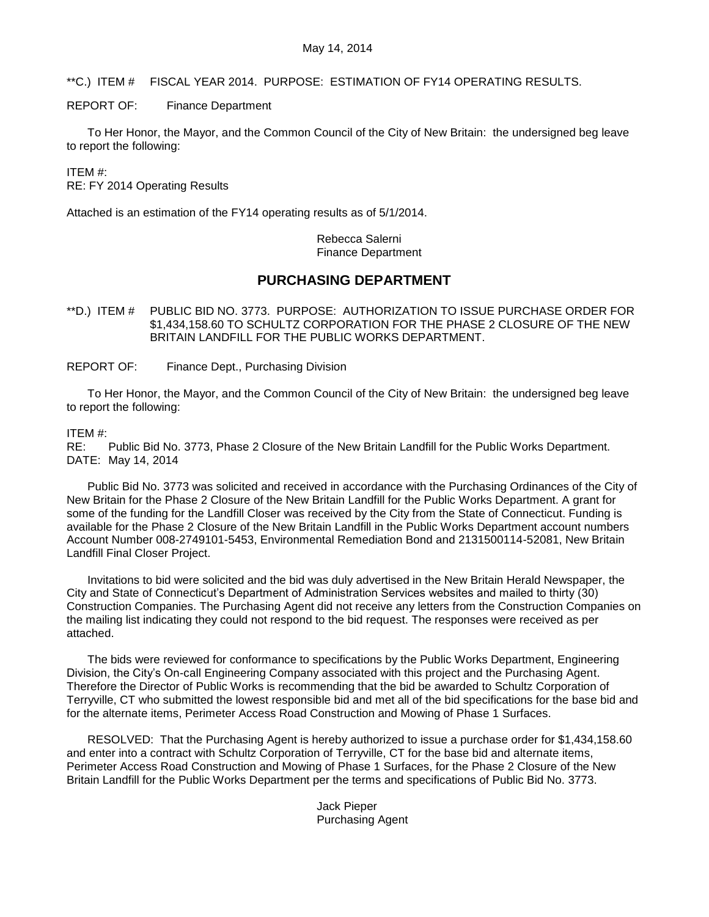<span id="page-5-0"></span>\*\*C.) ITEM # FISCAL YEAR 2014. PURPOSE: ESTIMATION OF FY14 OPERATING RESULTS.

REPORT OF: Finance Department

To Her Honor, the Mayor, and the Common Council of the City of New Britain: the undersigned beg leave to report the following:

ITEM #:

RE: FY 2014 Operating Results

Attached is an estimation of the FY14 operating results as of 5/1/2014.

Rebecca Salerni Finance Department

# **PURCHASING DEPARTMENT**

<span id="page-5-1"></span>\*\*D.) ITEM # PUBLIC BID NO. 3773. PURPOSE: AUTHORIZATION TO ISSUE PURCHASE ORDER FOR \$1,434,158.60 TO SCHULTZ CORPORATION FOR THE PHASE 2 CLOSURE OF THE NEW BRITAIN LANDFILL FOR THE PUBLIC WORKS DEPARTMENT.

REPORT OF: Finance Dept., Purchasing Division

To Her Honor, the Mayor, and the Common Council of the City of New Britain: the undersigned beg leave to report the following:

## ITEM #:

RE: Public Bid No. 3773, Phase 2 Closure of the New Britain Landfill for the Public Works Department. DATE: May 14, 2014

Public Bid No. 3773 was solicited and received in accordance with the Purchasing Ordinances of the City of New Britain for the Phase 2 Closure of the New Britain Landfill for the Public Works Department. A grant for some of the funding for the Landfill Closer was received by the City from the State of Connecticut. Funding is available for the Phase 2 Closure of the New Britain Landfill in the Public Works Department account numbers Account Number 008-2749101-5453, Environmental Remediation Bond and 2131500114-52081, New Britain Landfill Final Closer Project.

Invitations to bid were solicited and the bid was duly advertised in the New Britain Herald Newspaper, the City and State of Connecticut's Department of Administration Services websites and mailed to thirty (30) Construction Companies. The Purchasing Agent did not receive any letters from the Construction Companies on the mailing list indicating they could not respond to the bid request. The responses were received as per attached.

The bids were reviewed for conformance to specifications by the Public Works Department, Engineering Division, the City's On-call Engineering Company associated with this project and the Purchasing Agent. Therefore the Director of Public Works is recommending that the bid be awarded to Schultz Corporation of Terryville, CT who submitted the lowest responsible bid and met all of the bid specifications for the base bid and for the alternate items, Perimeter Access Road Construction and Mowing of Phase 1 Surfaces.

RESOLVED: That the Purchasing Agent is hereby authorized to issue a purchase order for \$1,434,158.60 and enter into a contract with Schultz Corporation of Terryville, CT for the base bid and alternate items, Perimeter Access Road Construction and Mowing of Phase 1 Surfaces, for the Phase 2 Closure of the New Britain Landfill for the Public Works Department per the terms and specifications of Public Bid No. 3773.

> Jack Pieper Purchasing Agent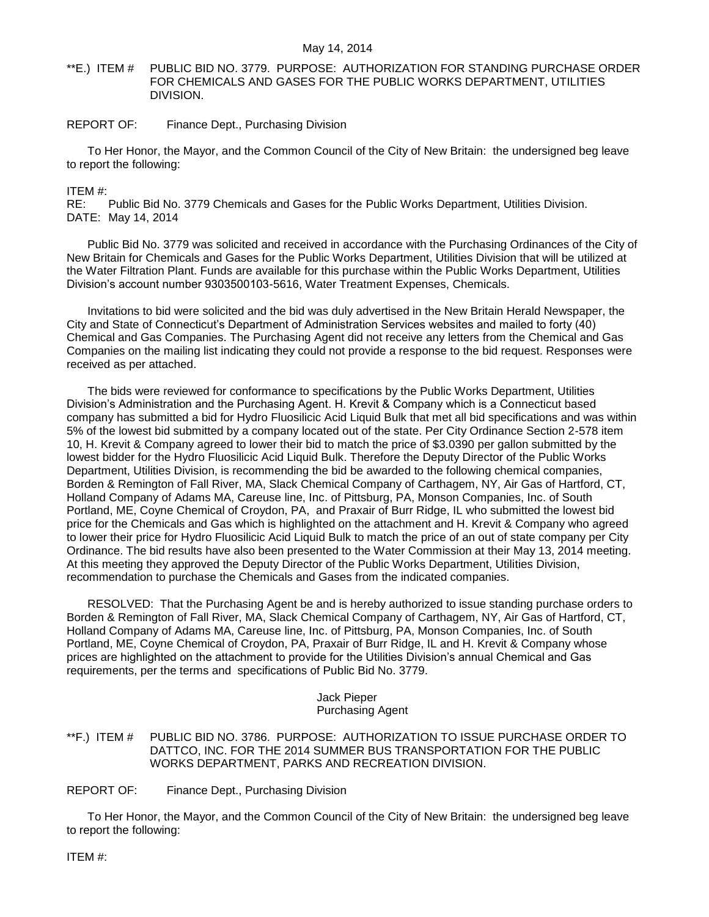<span id="page-6-0"></span>\*\*E.) ITEM # PUBLIC BID NO. 3779. PURPOSE: AUTHORIZATION FOR STANDING PURCHASE ORDER FOR CHEMICALS AND GASES FOR THE PUBLIC WORKS DEPARTMENT, UTILITIES DIVISION.

## REPORT OF: Finance Dept., Purchasing Division

To Her Honor, the Mayor, and the Common Council of the City of New Britain: the undersigned beg leave to report the following:

ITEM #:

RE: Public Bid No. 3779 Chemicals and Gases for the Public Works Department, Utilities Division. DATE: May 14, 2014

Public Bid No. 3779 was solicited and received in accordance with the Purchasing Ordinances of the City of New Britain for Chemicals and Gases for the Public Works Department, Utilities Division that will be utilized at the Water Filtration Plant. Funds are available for this purchase within the Public Works Department, Utilities Division's account number 9303500103-5616, Water Treatment Expenses, Chemicals.

Invitations to bid were solicited and the bid was duly advertised in the New Britain Herald Newspaper, the City and State of Connecticut's Department of Administration Services websites and mailed to forty (40) Chemical and Gas Companies. The Purchasing Agent did not receive any letters from the Chemical and Gas Companies on the mailing list indicating they could not provide a response to the bid request. Responses were received as per attached.

The bids were reviewed for conformance to specifications by the Public Works Department, Utilities Division's Administration and the Purchasing Agent. H. Krevit & Company which is a Connecticut based company has submitted a bid for Hydro Fluosilicic Acid Liquid Bulk that met all bid specifications and was within 5% of the lowest bid submitted by a company located out of the state. Per City Ordinance Section 2-578 item 10, H. Krevit & Company agreed to lower their bid to match the price of \$3.0390 per gallon submitted by the lowest bidder for the Hydro Fluosilicic Acid Liquid Bulk. Therefore the Deputy Director of the Public Works Department, Utilities Division, is recommending the bid be awarded to the following chemical companies, Borden & Remington of Fall River, MA, Slack Chemical Company of Carthagem, NY, Air Gas of Hartford, CT, Holland Company of Adams MA, Careuse line, Inc. of Pittsburg, PA, Monson Companies, Inc. of South Portland, ME, Coyne Chemical of Croydon, PA, and Praxair of Burr Ridge, IL who submitted the lowest bid price for the Chemicals and Gas which is highlighted on the attachment and H. Krevit & Company who agreed to lower their price for Hydro Fluosilicic Acid Liquid Bulk to match the price of an out of state company per City Ordinance. The bid results have also been presented to the Water Commission at their May 13, 2014 meeting. At this meeting they approved the Deputy Director of the Public Works Department, Utilities Division, recommendation to purchase the Chemicals and Gases from the indicated companies.

RESOLVED: That the Purchasing Agent be and is hereby authorized to issue standing purchase orders to Borden & Remington of Fall River, MA, Slack Chemical Company of Carthagem, NY, Air Gas of Hartford, CT, Holland Company of Adams MA, Careuse line, Inc. of Pittsburg, PA, Monson Companies, Inc. of South Portland, ME, Coyne Chemical of Croydon, PA, Praxair of Burr Ridge, IL and H. Krevit & Company whose prices are highlighted on the attachment to provide for the Utilities Division's annual Chemical and Gas requirements, per the terms and specifications of Public Bid No. 3779.

## Jack Pieper Purchasing Agent

<span id="page-6-1"></span>\*\*F.) ITEM # PUBLIC BID NO. 3786. PURPOSE: AUTHORIZATION TO ISSUE PURCHASE ORDER TO DATTCO, INC. FOR THE 2014 SUMMER BUS TRANSPORTATION FOR THE PUBLIC WORKS DEPARTMENT, PARKS AND RECREATION DIVISION.

REPORT OF: Finance Dept., Purchasing Division

To Her Honor, the Mayor, and the Common Council of the City of New Britain: the undersigned beg leave to report the following:

ITEM #: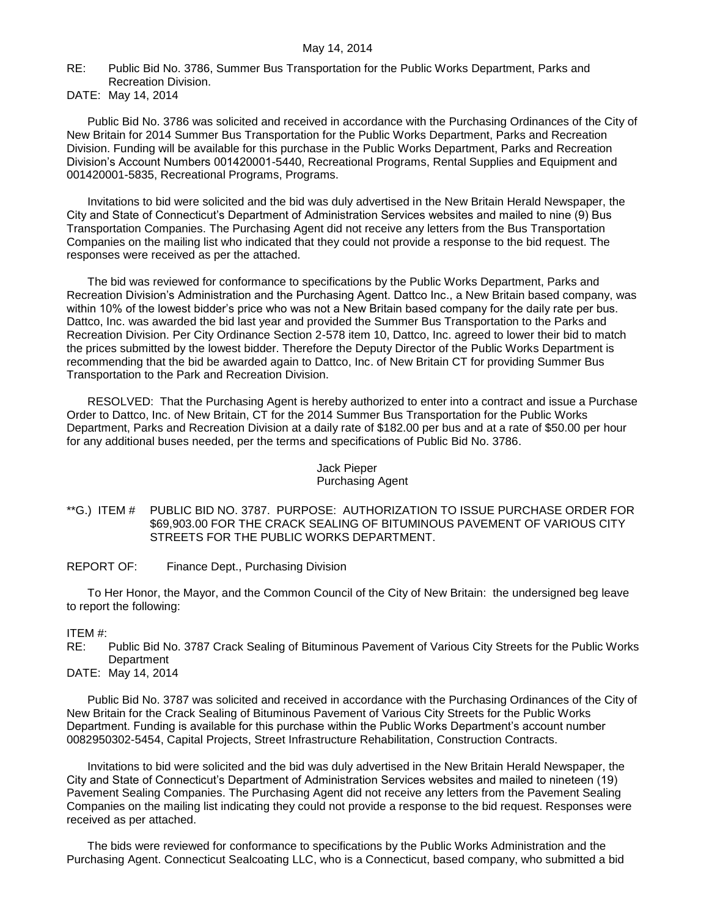RE: Public Bid No. 3786, Summer Bus Transportation for the Public Works Department, Parks and Recreation Division.

DATE: May 14, 2014

Public Bid No. 3786 was solicited and received in accordance with the Purchasing Ordinances of the City of New Britain for 2014 Summer Bus Transportation for the Public Works Department, Parks and Recreation Division. Funding will be available for this purchase in the Public Works Department, Parks and Recreation Division's Account Numbers 001420001-5440, Recreational Programs, Rental Supplies and Equipment and 001420001-5835, Recreational Programs, Programs.

Invitations to bid were solicited and the bid was duly advertised in the New Britain Herald Newspaper, the City and State of Connecticut's Department of Administration Services websites and mailed to nine (9) Bus Transportation Companies. The Purchasing Agent did not receive any letters from the Bus Transportation Companies on the mailing list who indicated that they could not provide a response to the bid request. The responses were received as per the attached.

The bid was reviewed for conformance to specifications by the Public Works Department, Parks and Recreation Division's Administration and the Purchasing Agent. Dattco Inc., a New Britain based company, was within 10% of the lowest bidder's price who was not a New Britain based company for the daily rate per bus. Dattco, Inc. was awarded the bid last year and provided the Summer Bus Transportation to the Parks and Recreation Division. Per City Ordinance Section 2-578 item 10, Dattco, Inc. agreed to lower their bid to match the prices submitted by the lowest bidder. Therefore the Deputy Director of the Public Works Department is recommending that the bid be awarded again to Dattco, Inc. of New Britain CT for providing Summer Bus Transportation to the Park and Recreation Division.

RESOLVED: That the Purchasing Agent is hereby authorized to enter into a contract and issue a Purchase Order to Dattco, Inc. of New Britain, CT for the 2014 Summer Bus Transportation for the Public Works Department, Parks and Recreation Division at a daily rate of \$182.00 per bus and at a rate of \$50.00 per hour for any additional buses needed, per the terms and specifications of Public Bid No. 3786.

## Jack Pieper Purchasing Agent

- <span id="page-7-0"></span>\*\*G.) ITEM # PUBLIC BID NO. 3787. PURPOSE: AUTHORIZATION TO ISSUE PURCHASE ORDER FOR \$69,903.00 FOR THE CRACK SEALING OF BITUMINOUS PAVEMENT OF VARIOUS CITY STREETS FOR THE PUBLIC WORKS DEPARTMENT.
- REPORT OF: Finance Dept., Purchasing Division

To Her Honor, the Mayor, and the Common Council of the City of New Britain: the undersigned beg leave to report the following:

## ITEM #:

RE: Public Bid No. 3787 Crack Sealing of Bituminous Pavement of Various City Streets for the Public Works Department

DATE: May 14, 2014

Public Bid No. 3787 was solicited and received in accordance with the Purchasing Ordinances of the City of New Britain for the Crack Sealing of Bituminous Pavement of Various City Streets for the Public Works Department. Funding is available for this purchase within the Public Works Department's account number 0082950302-5454, Capital Projects, Street Infrastructure Rehabilitation, Construction Contracts.

Invitations to bid were solicited and the bid was duly advertised in the New Britain Herald Newspaper, the City and State of Connecticut's Department of Administration Services websites and mailed to nineteen (19) Pavement Sealing Companies. The Purchasing Agent did not receive any letters from the Pavement Sealing Companies on the mailing list indicating they could not provide a response to the bid request. Responses were received as per attached.

The bids were reviewed for conformance to specifications by the Public Works Administration and the Purchasing Agent. Connecticut Sealcoating LLC, who is a Connecticut, based company, who submitted a bid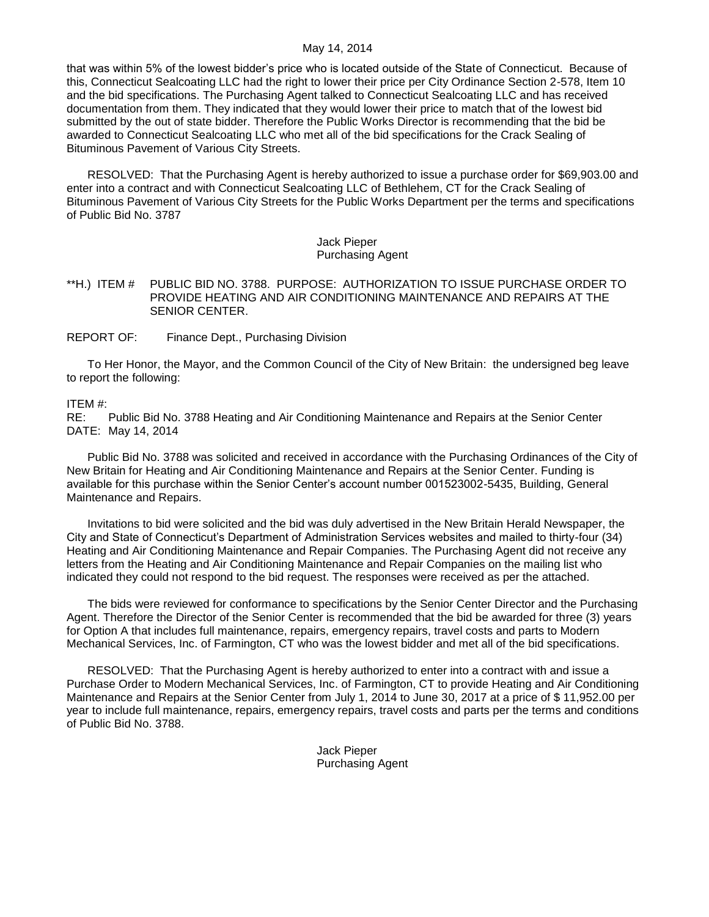that was within 5% of the lowest bidder's price who is located outside of the State of Connecticut. Because of this, Connecticut Sealcoating LLC had the right to lower their price per City Ordinance Section 2-578, Item 10 and the bid specifications. The Purchasing Agent talked to Connecticut Sealcoating LLC and has received documentation from them. They indicated that they would lower their price to match that of the lowest bid submitted by the out of state bidder. Therefore the Public Works Director is recommending that the bid be awarded to Connecticut Sealcoating LLC who met all of the bid specifications for the Crack Sealing of Bituminous Pavement of Various City Streets.

RESOLVED: That the Purchasing Agent is hereby authorized to issue a purchase order for \$69,903.00 and enter into a contract and with Connecticut Sealcoating LLC of Bethlehem, CT for the Crack Sealing of Bituminous Pavement of Various City Streets for the Public Works Department per the terms and specifications of Public Bid No. 3787

#### Jack Pieper Purchasing Agent

#### <span id="page-8-0"></span>\*\*H.) ITEM # PUBLIC BID NO. 3788. PURPOSE: AUTHORIZATION TO ISSUE PURCHASE ORDER TO PROVIDE HEATING AND AIR CONDITIONING MAINTENANCE AND REPAIRS AT THE SENIOR CENTER.

REPORT OF: Finance Dept., Purchasing Division

To Her Honor, the Mayor, and the Common Council of the City of New Britain: the undersigned beg leave to report the following:

# ITEM #:

Public Bid No. 3788 Heating and Air Conditioning Maintenance and Repairs at the Senior Center DATE: May 14, 2014

Public Bid No. 3788 was solicited and received in accordance with the Purchasing Ordinances of the City of New Britain for Heating and Air Conditioning Maintenance and Repairs at the Senior Center. Funding is available for this purchase within the Senior Center's account number 001523002-5435, Building, General Maintenance and Repairs.

Invitations to bid were solicited and the bid was duly advertised in the New Britain Herald Newspaper, the City and State of Connecticut's Department of Administration Services websites and mailed to thirty-four (34) Heating and Air Conditioning Maintenance and Repair Companies. The Purchasing Agent did not receive any letters from the Heating and Air Conditioning Maintenance and Repair Companies on the mailing list who indicated they could not respond to the bid request. The responses were received as per the attached.

The bids were reviewed for conformance to specifications by the Senior Center Director and the Purchasing Agent. Therefore the Director of the Senior Center is recommended that the bid be awarded for three (3) years for Option A that includes full maintenance, repairs, emergency repairs, travel costs and parts to Modern Mechanical Services, Inc. of Farmington, CT who was the lowest bidder and met all of the bid specifications.

RESOLVED: That the Purchasing Agent is hereby authorized to enter into a contract with and issue a Purchase Order to Modern Mechanical Services, Inc. of Farmington, CT to provide Heating and Air Conditioning Maintenance and Repairs at the Senior Center from July 1, 2014 to June 30, 2017 at a price of \$ 11,952.00 per year to include full maintenance, repairs, emergency repairs, travel costs and parts per the terms and conditions of Public Bid No. 3788.

> Jack Pieper Purchasing Agent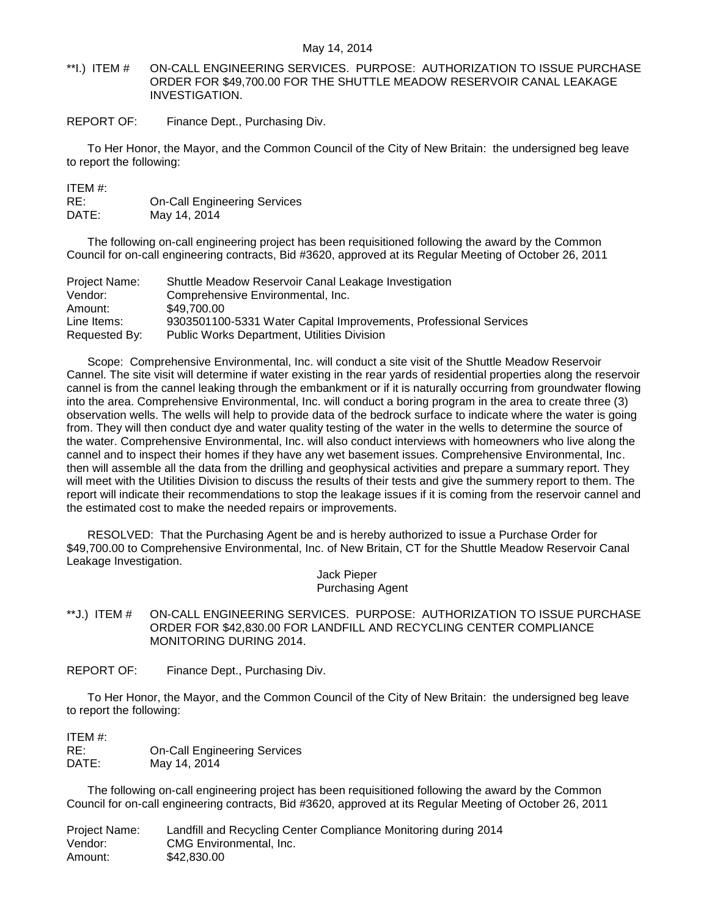- <span id="page-9-0"></span>\*\*I.) ITEM # ON-CALL ENGINEERING SERVICES. PURPOSE: AUTHORIZATION TO ISSUE PURCHASE ORDER FOR \$49,700.00 FOR THE SHUTTLE MEADOW RESERVOIR CANAL LEAKAGE INVESTIGATION.
- REPORT OF: Finance Dept., Purchasing Div.

To Her Honor, the Mayor, and the Common Council of the City of New Britain: the undersigned beg leave to report the following:

| ITEM #: |                                     |
|---------|-------------------------------------|
| RE:     | <b>On-Call Engineering Services</b> |
| DATE:   | May 14, 2014                        |

The following on-call engineering project has been requisitioned following the award by the Common Council for on-call engineering contracts, Bid #3620, approved at its Regular Meeting of October 26, 2011

| Project Name: | Shuttle Meadow Reservoir Canal Leakage Investigation              |
|---------------|-------------------------------------------------------------------|
| Vendor:       | Comprehensive Environmental, Inc.                                 |
| Amount:       | \$49,700.00                                                       |
| Line Items:   | 9303501100-5331 Water Capital Improvements, Professional Services |
| Requested By: | <b>Public Works Department, Utilities Division</b>                |

Scope: Comprehensive Environmental, Inc. will conduct a site visit of the Shuttle Meadow Reservoir Cannel. The site visit will determine if water existing in the rear yards of residential properties along the reservoir cannel is from the cannel leaking through the embankment or if it is naturally occurring from groundwater flowing into the area. Comprehensive Environmental, Inc. will conduct a boring program in the area to create three (3) observation wells. The wells will help to provide data of the bedrock surface to indicate where the water is going from. They will then conduct dye and water quality testing of the water in the wells to determine the source of the water. Comprehensive Environmental, Inc. will also conduct interviews with homeowners who live along the cannel and to inspect their homes if they have any wet basement issues. Comprehensive Environmental, Inc. then will assemble all the data from the drilling and geophysical activities and prepare a summary report. They will meet with the Utilities Division to discuss the results of their tests and give the summery report to them. The report will indicate their recommendations to stop the leakage issues if it is coming from the reservoir cannel and the estimated cost to make the needed repairs or improvements.

RESOLVED: That the Purchasing Agent be and is hereby authorized to issue a Purchase Order for \$49,700.00 to Comprehensive Environmental, Inc. of New Britain, CT for the Shuttle Meadow Reservoir Canal Leakage Investigation.

> Jack Pieper Purchasing Agent

- <span id="page-9-1"></span>\*\*J.) ITEM # ON-CALL ENGINEERING SERVICES. PURPOSE: AUTHORIZATION TO ISSUE PURCHASE ORDER FOR \$42,830.00 FOR LANDFILL AND RECYCLING CENTER COMPLIANCE MONITORING DURING 2014.
- REPORT OF: Finance Dept., Purchasing Div.

To Her Honor, the Mayor, and the Common Council of the City of New Britain: the undersigned beg leave to report the following:

ITEM #: RE: Cn-Call Engineering Services<br>
DATE: Mav 14, 2014 May 14, 2014

The following on-call engineering project has been requisitioned following the award by the Common Council for on-call engineering contracts, Bid #3620, approved at its Regular Meeting of October 26, 2011

Project Name: Landfill and Recycling Center Compliance Monitoring during 2014 Vendor: CMG Environmental, Inc. Amount: \$42,830.00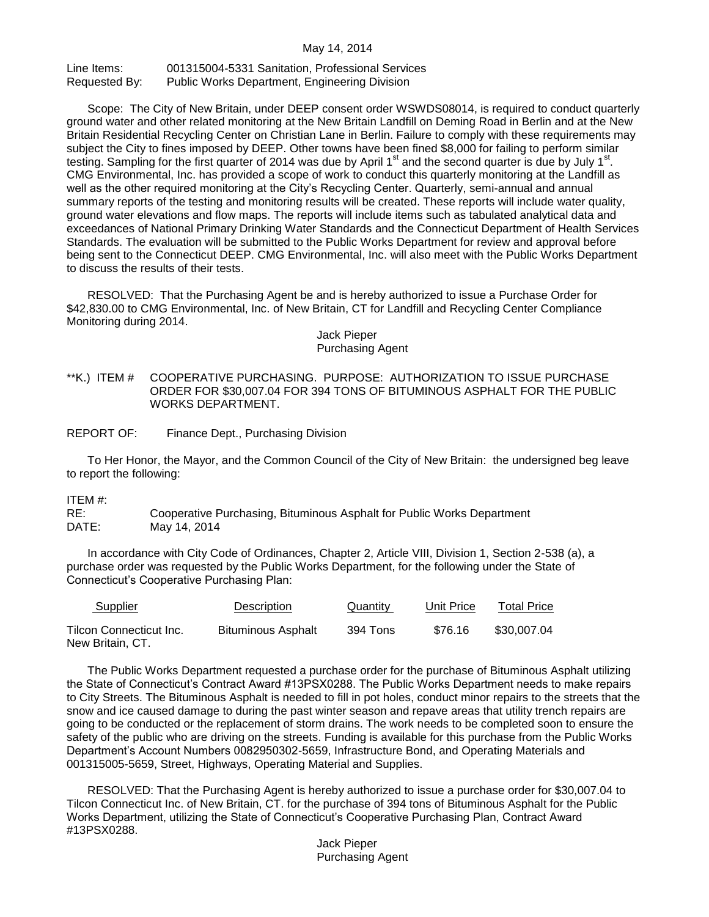Line Items: 001315004-5331 Sanitation, Professional Services Requested By: Public Works Department, Engineering Division

Scope: The City of New Britain, under DEEP consent order WSWDS08014, is required to conduct quarterly ground water and other related monitoring at the New Britain Landfill on Deming Road in Berlin and at the New Britain Residential Recycling Center on Christian Lane in Berlin. Failure to comply with these requirements may subject the City to fines imposed by DEEP. Other towns have been fined \$8,000 for failing to perform similar testing. Sampling for the first quarter of 2014 was due by April 1<sup>st</sup> and the second quarter is due by July 1<sup>st</sup>. CMG Environmental, Inc. has provided a scope of work to conduct this quarterly monitoring at the Landfill as well as the other required monitoring at the City's Recycling Center. Quarterly, semi-annual and annual summary reports of the testing and monitoring results will be created. These reports will include water quality, ground water elevations and flow maps. The reports will include items such as tabulated analytical data and exceedances of National Primary Drinking Water Standards and the Connecticut Department of Health Services Standards. The evaluation will be submitted to the Public Works Department for review and approval before being sent to the Connecticut DEEP. CMG Environmental, Inc. will also meet with the Public Works Department to discuss the results of their tests.

RESOLVED: That the Purchasing Agent be and is hereby authorized to issue a Purchase Order for \$42,830.00 to CMG Environmental, Inc. of New Britain, CT for Landfill and Recycling Center Compliance Monitoring during 2014.

Jack Pieper Purchasing Agent

<span id="page-10-0"></span>\*\*K.) ITEM # COOPERATIVE PURCHASING. PURPOSE: AUTHORIZATION TO ISSUE PURCHASE ORDER FOR \$30,007.04 FOR 394 TONS OF BITUMINOUS ASPHALT FOR THE PUBLIC WORKS DEPARTMENT.

REPORT OF: Finance Dept., Purchasing Division

To Her Honor, the Mayor, and the Common Council of the City of New Britain: the undersigned beg leave to report the following:

ITEM #:

RE: Cooperative Purchasing, Bituminous Asphalt for Public Works Department DATE: May 14, 2014

In accordance with City Code of Ordinances, Chapter 2, Article VIII, Division 1, Section 2-538 (a), a purchase order was requested by the Public Works Department, for the following under the State of Connecticut's Cooperative Purchasing Plan:

| Supplier                                    | <b>Description</b>        | Quantity | Unit Price | Total Price |
|---------------------------------------------|---------------------------|----------|------------|-------------|
| Tilcon Connecticut Inc.<br>New Britain, CT. | <b>Bituminous Asphalt</b> | 394 Tons | \$76.16    | \$30,007.04 |

The Public Works Department requested a purchase order for the purchase of Bituminous Asphalt utilizing the State of Connecticut's Contract Award #13PSX0288. The Public Works Department needs to make repairs to City Streets. The Bituminous Asphalt is needed to fill in pot holes, conduct minor repairs to the streets that the snow and ice caused damage to during the past winter season and repave areas that utility trench repairs are going to be conducted or the replacement of storm drains. The work needs to be completed soon to ensure the safety of the public who are driving on the streets. Funding is available for this purchase from the Public Works Department's Account Numbers 0082950302-5659, Infrastructure Bond, and Operating Materials and 001315005-5659, Street, Highways, Operating Material and Supplies.

RESOLVED: That the Purchasing Agent is hereby authorized to issue a purchase order for \$30,007.04 to Tilcon Connecticut Inc. of New Britain, CT. for the purchase of 394 tons of Bituminous Asphalt for the Public Works Department, utilizing the State of Connecticut's Cooperative Purchasing Plan, Contract Award #13PSX0288.

> Jack Pieper Purchasing Agent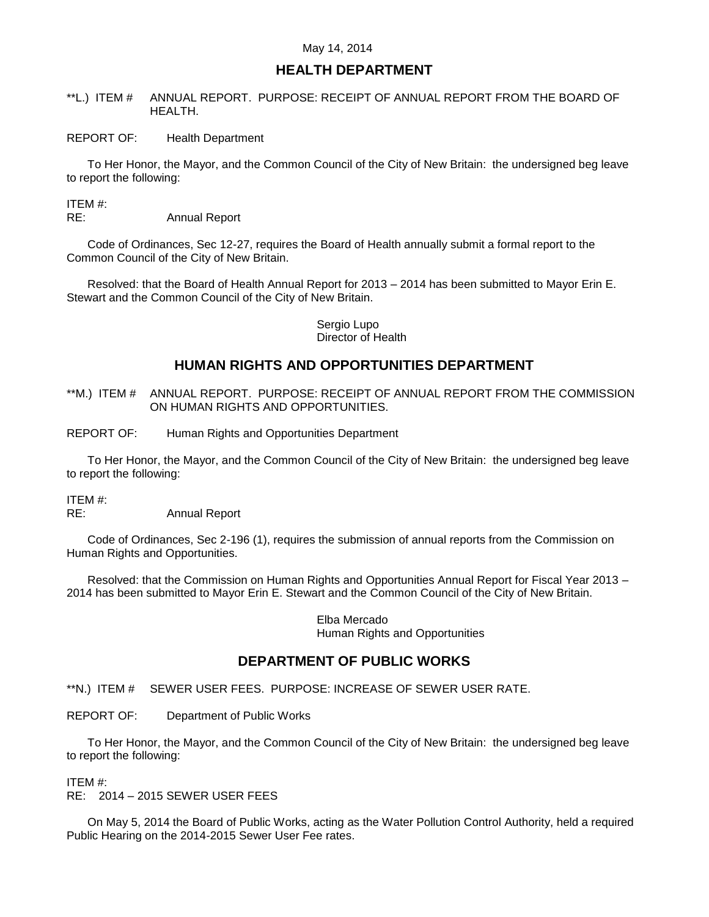## **HEALTH DEPARTMENT**

- <span id="page-11-0"></span>\*\*L.) ITEM # ANNUAL REPORT. PURPOSE: RECEIPT OF ANNUAL REPORT FROM THE BOARD OF HEALTH.
- REPORT OF: Health Department

To Her Honor, the Mayor, and the Common Council of the City of New Britain: the undersigned beg leave to report the following:

ITEM #:

RE: Annual Report

Code of Ordinances, Sec 12-27, requires the Board of Health annually submit a formal report to the Common Council of the City of New Britain.

Resolved: that the Board of Health Annual Report for 2013 – 2014 has been submitted to Mayor Erin E. Stewart and the Common Council of the City of New Britain.

#### Sergio Lupo Director of Health

# **HUMAN RIGHTS AND OPPORTUNITIES DEPARTMENT**

- <span id="page-11-1"></span>\*\*M.) ITEM # ANNUAL REPORT. PURPOSE: RECEIPT OF ANNUAL REPORT FROM THE COMMISSION ON HUMAN RIGHTS AND OPPORTUNITIES.
- REPORT OF: Human Rights and Opportunities Department

To Her Honor, the Mayor, and the Common Council of the City of New Britain: the undersigned beg leave to report the following:

ITEM #:

RE: Annual Report

Code of Ordinances, Sec 2-196 (1), requires the submission of annual reports from the Commission on Human Rights and Opportunities.

Resolved: that the Commission on Human Rights and Opportunities Annual Report for Fiscal Year 2013 – 2014 has been submitted to Mayor Erin E. Stewart and the Common Council of the City of New Britain.

> Elba Mercado Human Rights and Opportunities

## **DEPARTMENT OF PUBLIC WORKS**

<span id="page-11-2"></span>\*\*N.) ITEM # SEWER USER FEES. PURPOSE: INCREASE OF SEWER USER RATE.

REPORT OF: Department of Public Works

To Her Honor, the Mayor, and the Common Council of the City of New Britain: the undersigned beg leave to report the following:

ITEM #:

RE: 2014 – 2015 SEWER USER FEES

On May 5, 2014 the Board of Public Works, acting as the Water Pollution Control Authority, held a required Public Hearing on the 2014-2015 Sewer User Fee rates.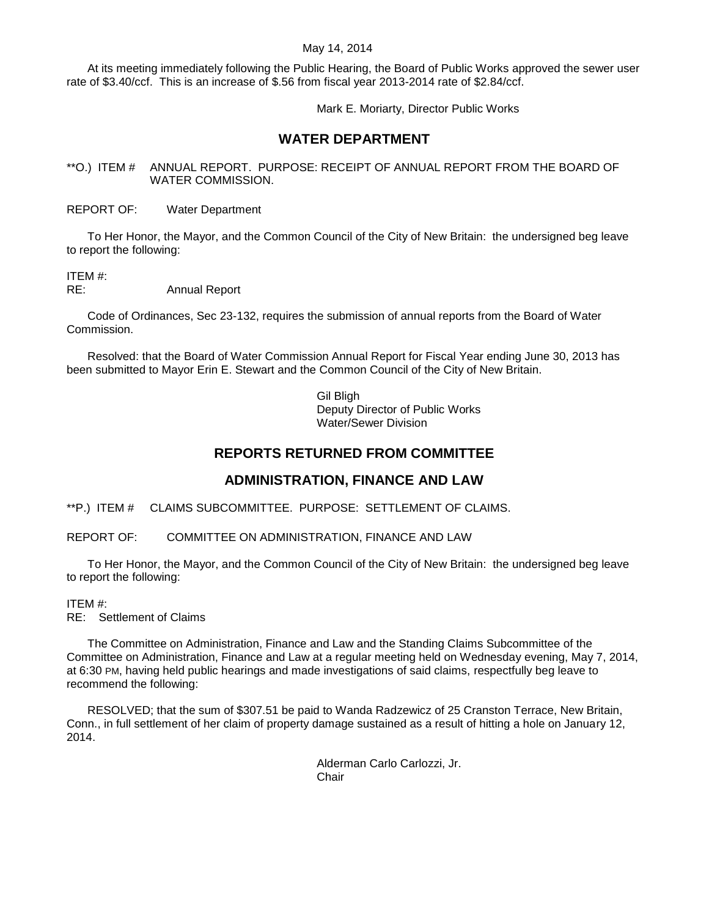At its meeting immediately following the Public Hearing, the Board of Public Works approved the sewer user rate of \$3.40/ccf. This is an increase of \$.56 from fiscal year 2013-2014 rate of \$2.84/ccf.

Mark E. Moriarty, Director Public Works

## **WATER DEPARTMENT**

<span id="page-12-0"></span>\*\*O.) ITEM # ANNUAL REPORT. PURPOSE: RECEIPT OF ANNUAL REPORT FROM THE BOARD OF WATER COMMISSION.

REPORT OF: Water Department

To Her Honor, the Mayor, and the Common Council of the City of New Britain: the undersigned beg leave to report the following:

# ITEM #:

RE: Annual Report

Code of Ordinances, Sec 23-132, requires the submission of annual reports from the Board of Water Commission.

Resolved: that the Board of Water Commission Annual Report for Fiscal Year ending June 30, 2013 has been submitted to Mayor Erin E. Stewart and the Common Council of the City of New Britain.

> Gil Bligh Deputy Director of Public Works Water/Sewer Division

## **REPORTS RETURNED FROM COMMITTEE**

# **ADMINISTRATION, FINANCE AND LAW**

<span id="page-12-1"></span>\*\*P.) ITEM # CLAIMS SUBCOMMITTEE. PURPOSE: SETTLEMENT OF CLAIMS.

REPORT OF: COMMITTEE ON ADMINISTRATION, FINANCE AND LAW

To Her Honor, the Mayor, and the Common Council of the City of New Britain: the undersigned beg leave to report the following:

## ITEM #:

RE: Settlement of Claims

The Committee on Administration, Finance and Law and the Standing Claims Subcommittee of the Committee on Administration, Finance and Law at a regular meeting held on Wednesday evening, May 7, 2014, at 6:30 PM, having held public hearings and made investigations of said claims, respectfully beg leave to recommend the following:

RESOLVED; that the sum of \$307.51 be paid to Wanda Radzewicz of 25 Cranston Terrace, New Britain, Conn., in full settlement of her claim of property damage sustained as a result of hitting a hole on January 12, 2014.

> Alderman Carlo Carlozzi, Jr. **Chair**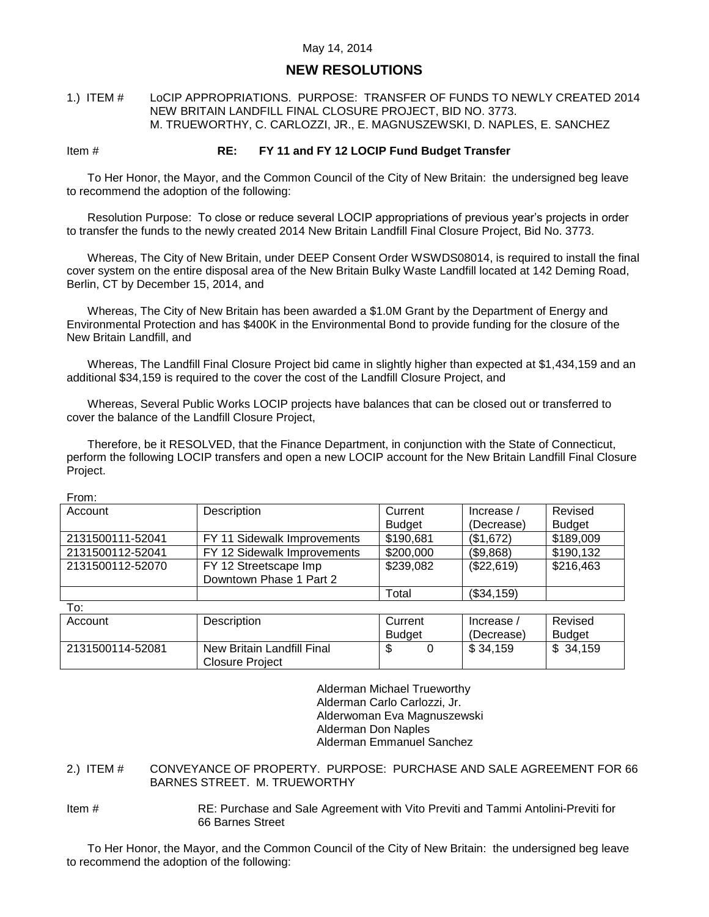## **NEW RESOLUTIONS**

<span id="page-13-0"></span>1.) ITEM # LoCIP APPROPRIATIONS. PURPOSE: TRANSFER OF FUNDS TO NEWLY CREATED 2014 NEW BRITAIN LANDFILL FINAL CLOSURE PROJECT, BID NO. 3773. M. TRUEWORTHY, C. CARLOZZI, JR., E. MAGNUSZEWSKI, D. NAPLES, E. SANCHEZ

## Item # **RE: FY 11 and FY 12 LOCIP Fund Budget Transfer**

To Her Honor, the Mayor, and the Common Council of the City of New Britain: the undersigned beg leave to recommend the adoption of the following:

Resolution Purpose: To close or reduce several LOCIP appropriations of previous year's projects in order to transfer the funds to the newly created 2014 New Britain Landfill Final Closure Project, Bid No. 3773.

Whereas, The City of New Britain, under DEEP Consent Order WSWDS08014, is required to install the final cover system on the entire disposal area of the New Britain Bulky Waste Landfill located at 142 Deming Road, Berlin, CT by December 15, 2014, and

Whereas, The City of New Britain has been awarded a \$1.0M Grant by the Department of Energy and Environmental Protection and has \$400K in the Environmental Bond to provide funding for the closure of the New Britain Landfill, and

Whereas, The Landfill Final Closure Project bid came in slightly higher than expected at \$1,434,159 and an additional \$34,159 is required to the cover the cost of the Landfill Closure Project, and

Whereas, Several Public Works LOCIP projects have balances that can be closed out or transferred to cover the balance of the Landfill Closure Project,

Therefore, be it RESOLVED, that the Finance Department, in conjunction with the State of Connecticut, perform the following LOCIP transfers and open a new LOCIP account for the New Britain Landfill Final Closure Project.

| Account          | Description                 | Current       | Increase / | Revised       |
|------------------|-----------------------------|---------------|------------|---------------|
|                  |                             | <b>Budget</b> | (Decrease) | <b>Budget</b> |
| 2131500111-52041 | FY 11 Sidewalk Improvements | \$190,681     | (\$1,672)  | \$189,009     |
| 2131500112-52041 | FY 12 Sidewalk Improvements | \$200,000     | (\$9,868)  | \$190,132     |
| 2131500112-52070 | FY 12 Streetscape Imp       | \$239,082     | (\$22,619) | \$216,463     |
|                  | Downtown Phase 1 Part 2     |               |            |               |
|                  |                             | Total         | (\$34,159) |               |

From:

| To:              |                            |               |  |                         |               |
|------------------|----------------------------|---------------|--|-------------------------|---------------|
| Account          | <b>Description</b>         | Current       |  | Increase /              | Revised       |
|                  |                            | <b>Budget</b> |  | (Decrease)              | <b>Budget</b> |
| 2131500114-52081 | New Britain Landfill Final |               |  | $\frac{1}{2}$ \$ 34.159 | \$34,159      |
|                  | Closure Project            |               |  |                         |               |

Alderman Michael Trueworthy Alderman Carlo Carlozzi, Jr. Alderwoman Eva Magnuszewski Alderman Don Naples Alderman Emmanuel Sanchez

<span id="page-13-1"></span>2.) ITEM # CONVEYANCE OF PROPERTY. PURPOSE: PURCHASE AND SALE AGREEMENT FOR 66 BARNES STREET. M. TRUEWORTHY

Item # RE: Purchase and Sale Agreement with Vito Previti and Tammi Antolini-Previti for 66 Barnes Street

To Her Honor, the Mayor, and the Common Council of the City of New Britain: the undersigned beg leave to recommend the adoption of the following: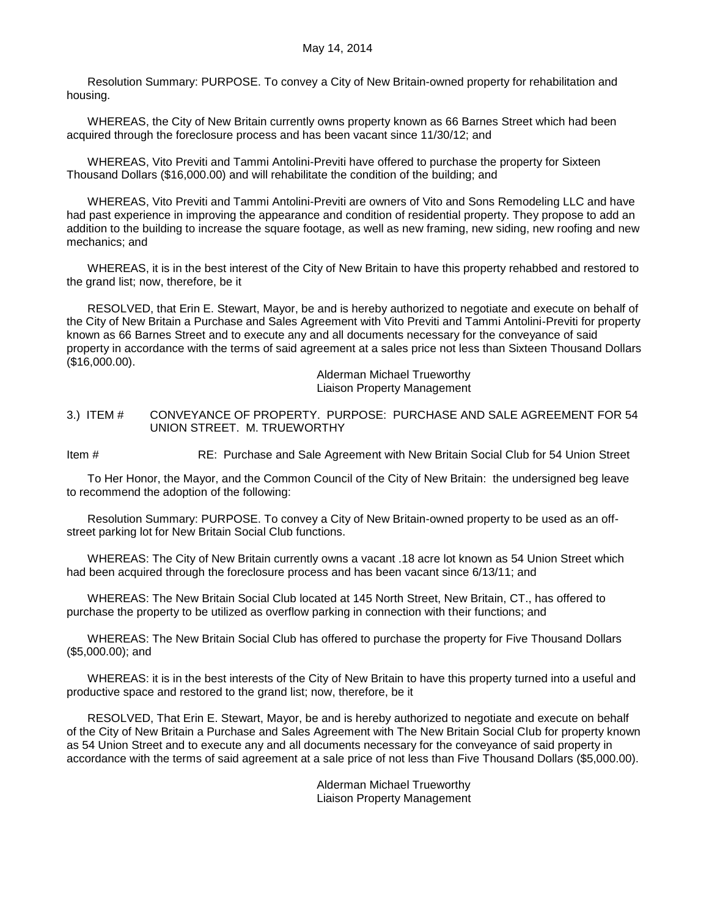Resolution Summary: PURPOSE. To convey a City of New Britain-owned property for rehabilitation and housing.

WHEREAS, the City of New Britain currently owns property known as 66 Barnes Street which had been acquired through the foreclosure process and has been vacant since 11/30/12; and

WHEREAS, Vito Previti and Tammi Antolini-Previti have offered to purchase the property for Sixteen Thousand Dollars (\$16,000.00) and will rehabilitate the condition of the building; and

WHEREAS, Vito Previti and Tammi Antolini-Previti are owners of Vito and Sons Remodeling LLC and have had past experience in improving the appearance and condition of residential property. They propose to add an addition to the building to increase the square footage, as well as new framing, new siding, new roofing and new mechanics; and

WHEREAS, it is in the best interest of the City of New Britain to have this property rehabbed and restored to the grand list; now, therefore, be it

RESOLVED, that Erin E. Stewart, Mayor, be and is hereby authorized to negotiate and execute on behalf of the City of New Britain a Purchase and Sales Agreement with Vito Previti and Tammi Antolini-Previti for property known as 66 Barnes Street and to execute any and all documents necessary for the conveyance of said property in accordance with the terms of said agreement at a sales price not less than Sixteen Thousand Dollars (\$16,000.00).

> Alderman Michael Trueworthy Liaison Property Management

<span id="page-14-0"></span>3.) ITEM # CONVEYANCE OF PROPERTY. PURPOSE: PURCHASE AND SALE AGREEMENT FOR 54 UNION STREET. M. TRUEWORTHY

Item # RE: Purchase and Sale Agreement with New Britain Social Club for 54 Union Street

To Her Honor, the Mayor, and the Common Council of the City of New Britain: the undersigned beg leave to recommend the adoption of the following:

Resolution Summary: PURPOSE. To convey a City of New Britain-owned property to be used as an offstreet parking lot for New Britain Social Club functions.

WHEREAS: The City of New Britain currently owns a vacant .18 acre lot known as 54 Union Street which had been acquired through the foreclosure process and has been vacant since 6/13/11; and

WHEREAS: The New Britain Social Club located at 145 North Street, New Britain, CT., has offered to purchase the property to be utilized as overflow parking in connection with their functions; and

WHEREAS: The New Britain Social Club has offered to purchase the property for Five Thousand Dollars (\$5,000.00); and

WHEREAS: it is in the best interests of the City of New Britain to have this property turned into a useful and productive space and restored to the grand list; now, therefore, be it

RESOLVED, That Erin E. Stewart, Mayor, be and is hereby authorized to negotiate and execute on behalf of the City of New Britain a Purchase and Sales Agreement with The New Britain Social Club for property known as 54 Union Street and to execute any and all documents necessary for the conveyance of said property in accordance with the terms of said agreement at a sale price of not less than Five Thousand Dollars (\$5,000.00).

> Alderman Michael Trueworthy Liaison Property Management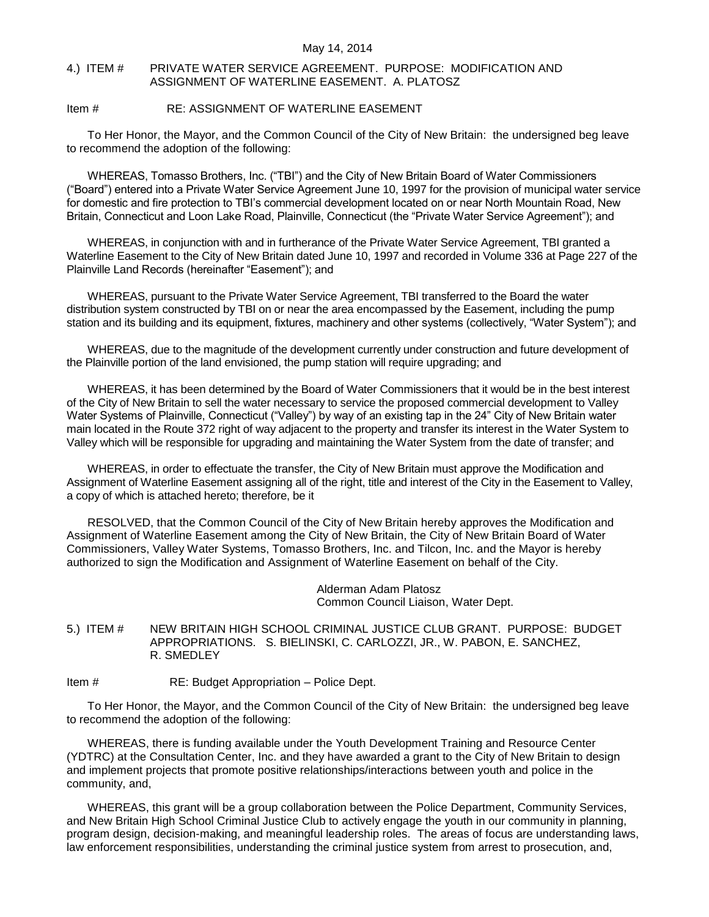#### <span id="page-15-0"></span>4.) ITEM # PRIVATE WATER SERVICE AGREEMENT. PURPOSE: MODIFICATION AND ASSIGNMENT OF WATERLINE EASEMENT. A. PLATOSZ

## Item # RE: ASSIGNMENT OF WATERLINE EASEMENT

To Her Honor, the Mayor, and the Common Council of the City of New Britain: the undersigned beg leave to recommend the adoption of the following:

WHEREAS, Tomasso Brothers, Inc. ("TBI") and the City of New Britain Board of Water Commissioners ("Board") entered into a Private Water Service Agreement June 10, 1997 for the provision of municipal water service for domestic and fire protection to TBI's commercial development located on or near North Mountain Road, New Britain, Connecticut and Loon Lake Road, Plainville, Connecticut (the "Private Water Service Agreement"); and

WHEREAS, in conjunction with and in furtherance of the Private Water Service Agreement, TBI granted a Waterline Easement to the City of New Britain dated June 10, 1997 and recorded in Volume 336 at Page 227 of the Plainville Land Records (hereinafter "Easement"); and

WHEREAS, pursuant to the Private Water Service Agreement, TBI transferred to the Board the water distribution system constructed by TBI on or near the area encompassed by the Easement, including the pump station and its building and its equipment, fixtures, machinery and other systems (collectively, "Water System"); and

WHEREAS, due to the magnitude of the development currently under construction and future development of the Plainville portion of the land envisioned, the pump station will require upgrading; and

WHEREAS, it has been determined by the Board of Water Commissioners that it would be in the best interest of the City of New Britain to sell the water necessary to service the proposed commercial development to Valley Water Systems of Plainville, Connecticut ("Valley") by way of an existing tap in the 24" City of New Britain water main located in the Route 372 right of way adjacent to the property and transfer its interest in the Water System to Valley which will be responsible for upgrading and maintaining the Water System from the date of transfer; and

WHEREAS, in order to effectuate the transfer, the City of New Britain must approve the Modification and Assignment of Waterline Easement assigning all of the right, title and interest of the City in the Easement to Valley, a copy of which is attached hereto; therefore, be it

RESOLVED, that the Common Council of the City of New Britain hereby approves the Modification and Assignment of Waterline Easement among the City of New Britain, the City of New Britain Board of Water Commissioners, Valley Water Systems, Tomasso Brothers, Inc. and Tilcon, Inc. and the Mayor is hereby authorized to sign the Modification and Assignment of Waterline Easement on behalf of the City.

> Alderman Adam Platosz Common Council Liaison, Water Dept.

## <span id="page-15-1"></span>5.) ITEM # NEW BRITAIN HIGH SCHOOL CRIMINAL JUSTICE CLUB GRANT. PURPOSE: BUDGET APPROPRIATIONS. S. BIELINSKI, C. CARLOZZI, JR., W. PABON, E. SANCHEZ, R. SMEDLEY

Item # RE: Budget Appropriation – Police Dept.

To Her Honor, the Mayor, and the Common Council of the City of New Britain: the undersigned beg leave to recommend the adoption of the following:

WHEREAS, there is funding available under the Youth Development Training and Resource Center (YDTRC) at the Consultation Center, Inc. and they have awarded a grant to the City of New Britain to design and implement projects that promote positive relationships/interactions between youth and police in the community, and,

WHEREAS, this grant will be a group collaboration between the Police Department, Community Services, and New Britain High School Criminal Justice Club to actively engage the youth in our community in planning, program design, decision-making, and meaningful leadership roles. The areas of focus are understanding laws, law enforcement responsibilities, understanding the criminal justice system from arrest to prosecution, and,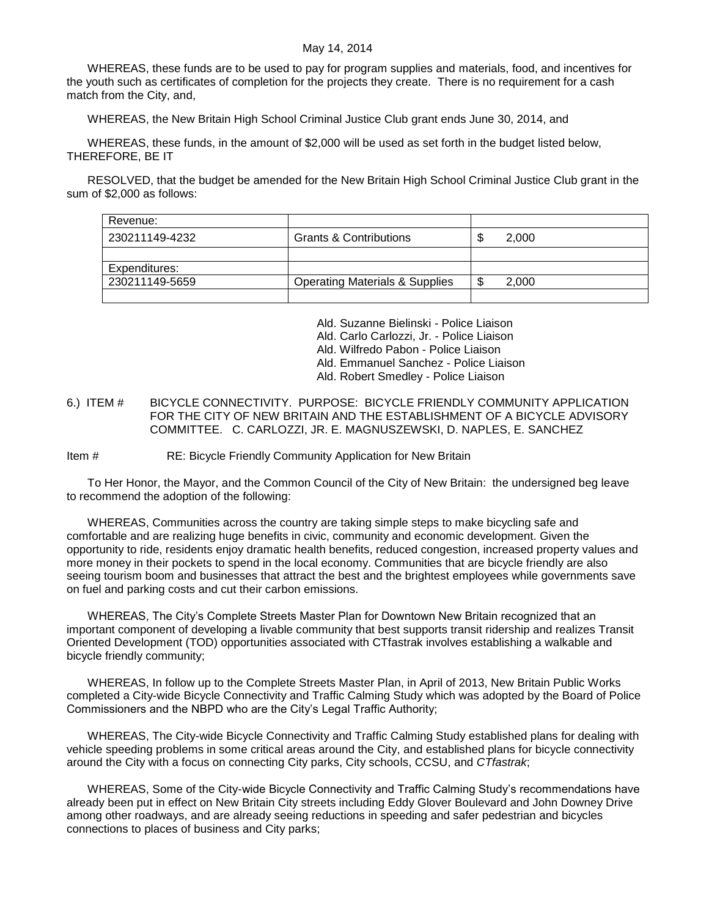WHEREAS, these funds are to be used to pay for program supplies and materials, food, and incentives for the youth such as certificates of completion for the projects they create. There is no requirement for a cash match from the City, and,

WHEREAS, the New Britain High School Criminal Justice Club grant ends June 30, 2014, and

WHEREAS, these funds, in the amount of \$2,000 will be used as set forth in the budget listed below, THEREFORE, BE IT

RESOLVED, that the budget be amended for the New Britain High School Criminal Justice Club grant in the sum of \$2,000 as follows:

| Revenue:       |                                           |    |       |
|----------------|-------------------------------------------|----|-------|
| 230211149-4232 | <b>Grants &amp; Contributions</b>         | ۰D | 2.000 |
|                |                                           |    |       |
| Expenditures:  |                                           |    |       |
| 230211149-5659 | <b>Operating Materials &amp; Supplies</b> |    | 2.000 |
|                |                                           |    |       |

Ald. Suzanne Bielinski - Police Liaison Ald. Carlo Carlozzi, Jr. - Police Liaison Ald. Wilfredo Pabon - Police Liaison Ald. Emmanuel Sanchez - Police Liaison Ald. Robert Smedley - Police Liaison

<span id="page-16-0"></span>6.) ITEM # BICYCLE CONNECTIVITY. PURPOSE: BICYCLE FRIENDLY COMMUNITY APPLICATION FOR THE CITY OF NEW BRITAIN AND THE ESTABLISHMENT OF A BICYCLE ADVISORY COMMITTEE. C. CARLOZZI, JR. E. MAGNUSZEWSKI, D. NAPLES, E. SANCHEZ

Item # RE: Bicycle Friendly Community Application for New Britain

To Her Honor, the Mayor, and the Common Council of the City of New Britain: the undersigned beg leave to recommend the adoption of the following:

WHEREAS, Communities across the country are taking simple steps to make bicycling safe and comfortable and are realizing huge benefits in civic, community and economic development. Given the opportunity to ride, residents enjoy dramatic health benefits, reduced congestion, increased property values and more money in their pockets to spend in the local economy. Communities that are bicycle friendly are also seeing tourism boom and businesses that attract the best and the brightest employees while governments save on fuel and parking costs and cut their carbon emissions.

WHEREAS, The City's Complete Streets Master Plan for Downtown New Britain recognized that an important component of developing a livable community that best supports transit ridership and realizes Transit Oriented Development (TOD) opportunities associated with CTfastrak involves establishing a walkable and bicycle friendly community;

WHEREAS, In follow up to the Complete Streets Master Plan, in April of 2013, New Britain Public Works completed a City-wide Bicycle Connectivity and Traffic Calming Study which was adopted by the Board of Police Commissioners and the NBPD who are the City's Legal Traffic Authority;

WHEREAS, The City-wide Bicycle Connectivity and Traffic Calming Study established plans for dealing with vehicle speeding problems in some critical areas around the City, and established plans for bicycle connectivity around the City with a focus on connecting City parks, City schools, CCSU, and *CTfastrak*;

WHEREAS, Some of the City-wide Bicycle Connectivity and Traffic Calming Study's recommendations have already been put in effect on New Britain City streets including Eddy Glover Boulevard and John Downey Drive among other roadways, and are already seeing reductions in speeding and safer pedestrian and bicycles connections to places of business and City parks;